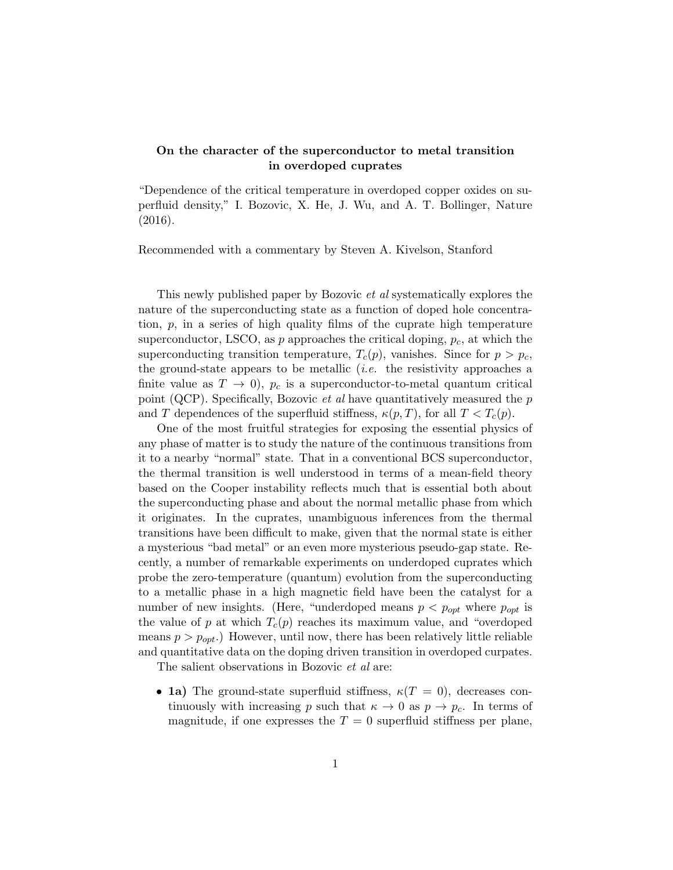## On the character of the superconductor to metal transition in overdoped cuprates

"Dependence of the critical temperature in overdoped copper oxides on superfluid density," I. Bozovic, X. He, J. Wu, and A. T. Bollinger, Nature (2016).

Recommended with a commentary by Steven A. Kivelson, Stanford

This newly published paper by Bozovic et al systematically explores the nature of the superconducting state as a function of doped hole concentration,  $p$ , in a series of high quality films of the cuprate high temperature superconductor, LSCO, as  $p$  approaches the critical doping,  $p_c$ , at which the superconducting transition temperature,  $T_c(p)$ , vanishes. Since for  $p > p_c$ , the ground-state appears to be metallic *(i.e.* the resistivity approaches a finite value as  $T \to 0$ ,  $p_c$  is a superconductor-to-metal quantum critical point (QCP). Specifically, Bozovic *et al* have quantitatively measured the  $p$ and T dependences of the superfluid stiffness,  $\kappa(p,T)$ , for all  $T < T_c(p)$ .

One of the most fruitful strategies for exposing the essential physics of any phase of matter is to study the nature of the continuous transitions from it to a nearby "normal" state. That in a conventional BCS superconductor, the thermal transition is well understood in terms of a mean-field theory based on the Cooper instability reflects much that is essential both about the superconducting phase and about the normal metallic phase from which it originates. In the cuprates, unambiguous inferences from the thermal transitions have been difficult to make, given that the normal state is either a mysterious "bad metal" or an even more mysterious pseudo-gap state. Recently, a number of remarkable experiments on underdoped cuprates which probe the zero-temperature (quantum) evolution from the superconducting to a metallic phase in a high magnetic field have been the catalyst for a number of new insights. (Here, "underdoped means  $p < p_{opt}$  where  $p_{opt}$  is the value of p at which  $T_c(p)$  reaches its maximum value, and "overdoped" means  $p > p_{opt}$ .) However, until now, there has been relatively little reliable and quantitative data on the doping driven transition in overdoped curpates.

The salient observations in Bozovic *et al* are:

• 1a) The ground-state superfluid stiffness,  $\kappa(T = 0)$ , decreases continuously with increasing p such that  $\kappa \to 0$  as  $p \to p_c$ . In terms of magnitude, if one expresses the  $T = 0$  superfluid stiffness per plane,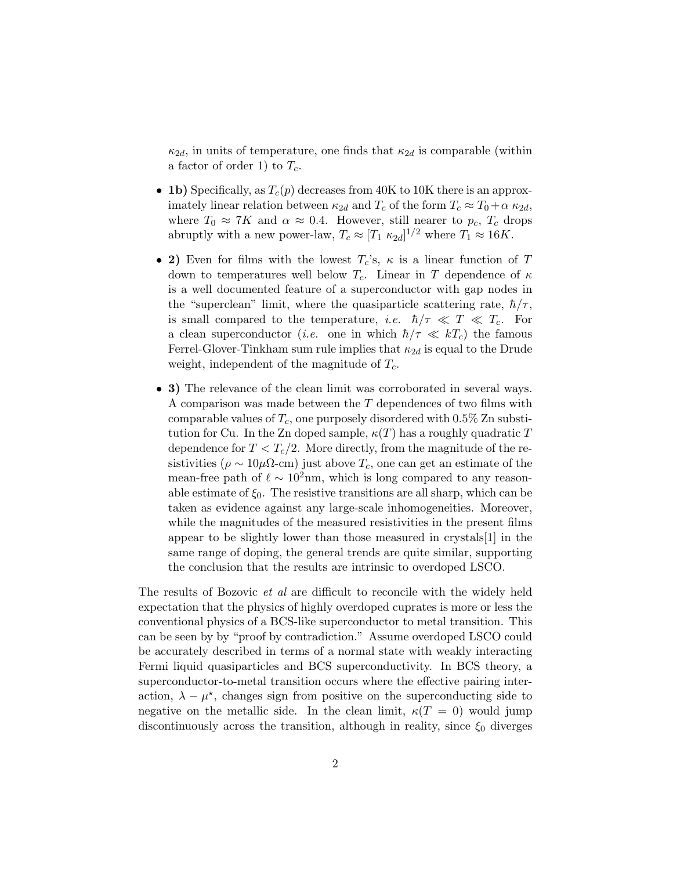$\kappa_{2d}$ , in units of temperature, one finds that  $\kappa_{2d}$  is comparable (within a factor of order 1) to  $T_c$ .

- 1b) Specifically, as  $T_c(p)$  decreases from 40K to 10K there is an approximately linear relation between  $\kappa_{2d}$  and  $T_c$  of the form  $T_c \approx T_0 + \alpha \kappa_{2d}$ , where  $T_0 \approx 7K$  and  $\alpha \approx 0.4$ . However, still nearer to  $p_c$ ,  $T_c$  drops abruptly with a new power-law,  $T_c \approx [T_1 \kappa_{2d}]^{1/2}$  where  $T_1 \approx 16K$ .
- 2) Even for films with the lowest  $T_c$ 's,  $\kappa$  is a linear function of T down to temperatures well below  $T_c$ . Linear in T dependence of  $\kappa$ is a well documented feature of a superconductor with gap nodes in the "superclean" limit, where the quasiparticle scattering rate,  $\hbar/\tau$ , is small compared to the temperature, *i.e.*  $\hbar/\tau \ll T \ll T_c$ . For a clean superconductor (*i.e.* one in which  $\hbar/\tau \ll kT_c$ ) the famous Ferrel-Glover-Tinkham sum rule implies that  $\kappa_{2d}$  is equal to the Drude weight, independent of the magnitude of  $T_c$ .
- 3) The relevance of the clean limit was corroborated in several ways. A comparison was made between the T dependences of two films with comparable values of  $T_c$ , one purposely disordered with 0.5% Zn substitution for Cu. In the Zn doped sample,  $\kappa(T)$  has a roughly quadratic T dependence for  $T < T_c/2$ . More directly, from the magnitude of the resistivities ( $\rho \sim 10 \mu \Omega$ -cm) just above  $T_c$ , one can get an estimate of the mean-free path of  $\ell \sim 10^2$ nm, which is long compared to any reasonable estimate of  $\xi_0$ . The resistive transitions are all sharp, which can be taken as evidence against any large-scale inhomogeneities. Moreover, while the magnitudes of the measured resistivities in the present films appear to be slightly lower than those measured in crystals[1] in the same range of doping, the general trends are quite similar, supporting the conclusion that the results are intrinsic to overdoped LSCO.

The results of Bozovic *et al* are difficult to reconcile with the widely held expectation that the physics of highly overdoped cuprates is more or less the conventional physics of a BCS-like superconductor to metal transition. This can be seen by by "proof by contradiction." Assume overdoped LSCO could be accurately described in terms of a normal state with weakly interacting Fermi liquid quasiparticles and BCS superconductivity. In BCS theory, a superconductor-to-metal transition occurs where the effective pairing interaction,  $\lambda - \mu^*$ , changes sign from positive on the superconducting side to negative on the metallic side. In the clean limit,  $\kappa(T = 0)$  would jump discontinuously across the transition, although in reality, since  $\xi_0$  diverges